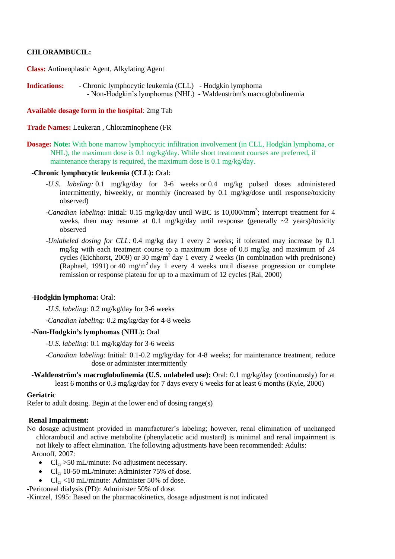# **CHLORAMBUCIL:**

**Class:** Antineoplastic Agent, Alkylating Agent

**Indications:** - Chronic lymphocytic leukemia (CLL) - Hodgkin lymphoma - Non-Hodgkin's lymphomas (NHL) - Waldenström's macroglobulinemia

**Available dosage form in the hospital**: 2mg Tab

**Trade Names:** Leukeran , Chloraminophene (FR

**Dosage: Note:** With bone marrow lymphocytic infiltration involvement (in CLL, Hodgkin lymphoma, or NHL), the maximum dose is 0.1 mg/kg/day. While short treatment courses are preferred, if maintenance therapy is required, the maximum dose is 0.1 mg/kg/day.

#### -**Chronic lymphocytic leukemia (CLL):** Oral:

- *-U.S. labeling:* 0.1 mg/kg/day for 3-6 weeks or 0.4 mg/kg pulsed doses administered intermittently, biweekly, or monthly (increased by 0.1 mg/kg/dose until response/toxicity observed)
- -Canadian labeling: Initial: 0.15 mg/kg/day until WBC is 10,000/mm<sup>3</sup>; interrupt treatment for 4 weeks, then may resume at 0.1 mg/kg/day until response (generally  $\sim$ 2 years)/toxicity observed
- *-Unlabeled dosing for CLL:* 0.4 mg/kg day 1 every 2 weeks; if tolerated may increase by 0.1 mg/kg with each treatment course to a maximum dose of 0.8 mg/kg and maximum of 24 cycles (Eichhorst, 2009) or 30 mg/m<sup>2</sup> day 1 every 2 weeks (in combination with prednisone) (Raphael, 1991) or 40 mg/m<sup>2</sup> day 1 every 4 weeks until disease progression or complete remission or response plateau for up to a maximum of 12 cycles (Rai, 2000)

#### -**Hodgkin lymphoma:** Oral:

*-U.S. labeling:* 0.2 mg/kg/day for 3-6 weeks

*-Canadian labeling:* 0.2 mg/kg/day for 4-8 weeks

#### -**Non-Hodgkin's lymphomas (NHL):** Oral

*-U.S. labeling:* 0.1 mg/kg/day for 3-6 weeks

- *-Canadian labeling:* Initial: 0.1-0.2 mg/kg/day for 4-8 weeks; for maintenance treatment, reduce dose or administer intermittently
- **-Waldenström's macroglobulinemia (U.S. unlabeled use):** Oral: 0.1 mg/kg/day (continuously) for at least 6 months or 0.3 mg/kg/day for 7 days every 6 weeks for at least 6 months (Kyle, 2000)

### **Geriatric**

Refer to adult dosing. Begin at the lower end of dosing range(s)

#### **Renal Impairment:**

- No dosage adjustment provided in manufacturer's labeling; however, renal elimination of unchanged chlorambucil and active metabolite (phenylacetic acid mustard) is minimal and renal impairment is not likely to affect elimination. The following adjustments have been recommended: Adults: Aronoff, 2007:
	- $Cl_{cr} > 50$  mL/minute: No adjustment necessary.
	- $Cl_{cr}$  10-50 mL/minute: Administer 75% of dose.
	- $Cl_{cr}$  <10 mL/minute: Administer 50% of dose.

-Peritoneal dialysis (PD): Administer 50% of dose.

-Kintzel, 1995: Based on the pharmacokinetics, dosage adjustment is not indicated